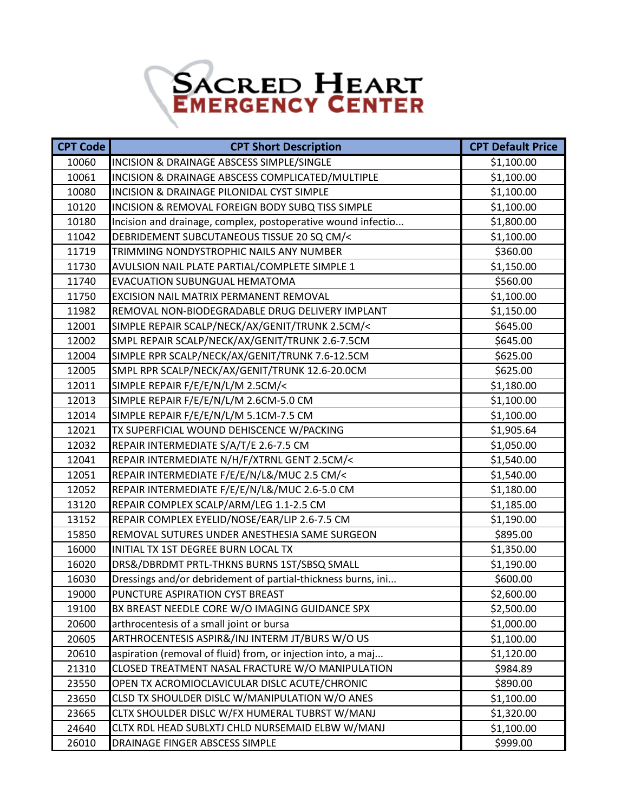## SACRED HEART

| <b>CPT Code</b> | <b>CPT Short Description</b>                                 | <b>CPT Default Price</b> |
|-----------------|--------------------------------------------------------------|--------------------------|
| 10060           | INCISION & DRAINAGE ABSCESS SIMPLE/SINGLE                    | \$1,100.00               |
| 10061           | INCISION & DRAINAGE ABSCESS COMPLICATED/MULTIPLE             | \$1,100.00               |
| 10080           | INCISION & DRAINAGE PILONIDAL CYST SIMPLE                    | \$1,100.00               |
| 10120           | INCISION & REMOVAL FOREIGN BODY SUBQ TISS SIMPLE             | \$1,100.00               |
| 10180           | Incision and drainage, complex, postoperative wound infectio | \$1,800.00               |
| 11042           | DEBRIDEMENT SUBCUTANEOUS TISSUE 20 SQ CM/<                   | \$1,100.00               |
| 11719           | TRIMMING NONDYSTROPHIC NAILS ANY NUMBER                      | \$360.00                 |
| 11730           | AVULSION NAIL PLATE PARTIAL/COMPLETE SIMPLE 1                | \$1,150.00               |
| 11740           | EVACUATION SUBUNGUAL HEMATOMA                                | \$560.00                 |
| 11750           | EXCISION NAIL MATRIX PERMANENT REMOVAL                       | \$1,100.00               |
| 11982           | REMOVAL NON-BIODEGRADABLE DRUG DELIVERY IMPLANT              | \$1,150.00               |
| 12001           | SIMPLE REPAIR SCALP/NECK/AX/GENIT/TRUNK 2.5CM/<              | \$645.00                 |
| 12002           | SMPL REPAIR SCALP/NECK/AX/GENIT/TRUNK 2.6-7.5CM              | \$645.00                 |
| 12004           | SIMPLE RPR SCALP/NECK/AX/GENIT/TRUNK 7.6-12.5CM              | \$625.00                 |
| 12005           | SMPL RPR SCALP/NECK/AX/GENIT/TRUNK 12.6-20.0CM               | \$625.00                 |
| 12011           | SIMPLE REPAIR F/E/E/N/L/M 2.5CM/<                            | \$1,180.00               |
| 12013           | SIMPLE REPAIR F/E/E/N/L/M 2.6CM-5.0 CM                       | \$1,100.00               |
| 12014           | SIMPLE REPAIR F/E/E/N/L/M 5.1CM-7.5 CM                       | \$1,100.00               |
| 12021           | TX SUPERFICIAL WOUND DEHISCENCE W/PACKING                    | \$1,905.64               |
| 12032           | REPAIR INTERMEDIATE S/A/T/E 2.6-7.5 CM                       | \$1,050.00               |
| 12041           | REPAIR INTERMEDIATE N/H/F/XTRNL GENT 2.5CM/<                 | \$1,540.00               |
| 12051           | REPAIR INTERMEDIATE F/E/E/N/L&/MUC 2.5 CM/<                  | \$1,540.00               |
| 12052           | REPAIR INTERMEDIATE F/E/E/N/L&/MUC 2.6-5.0 CM                | \$1,180.00               |
| 13120           | REPAIR COMPLEX SCALP/ARM/LEG 1.1-2.5 CM                      | \$1,185.00               |
| 13152           | REPAIR COMPLEX EYELID/NOSE/EAR/LIP 2.6-7.5 CM                | \$1,190.00               |
| 15850           | REMOVAL SUTURES UNDER ANESTHESIA SAME SURGEON                | \$895.00                 |
| 16000           | INITIAL TX 1ST DEGREE BURN LOCAL TX                          | \$1,350.00               |
| 16020           | DRS&/DBRDMT PRTL-THKNS BURNS 1ST/SBSQ SMALL                  | \$1,190.00               |
| 16030           | Dressings and/or debridement of partial-thickness burns, ini | \$600.00                 |
| 19000           | PUNCTURE ASPIRATION CYST BREAST                              | \$2,600.00               |
| 19100           | BX BREAST NEEDLE CORE W/O IMAGING GUIDANCE SPX               | \$2,500.00               |
| 20600           | arthrocentesis of a small joint or bursa                     | \$1,000.00               |
| 20605           | ARTHROCENTESIS ASPIR&/INJ INTERM JT/BURS W/O US              | \$1,100.00               |
| 20610           | aspiration (removal of fluid) from, or injection into, a maj | \$1,120.00               |
| 21310           | CLOSED TREATMENT NASAL FRACTURE W/O MANIPULATION             | \$984.89                 |
| 23550           | OPEN TX ACROMIOCLAVICULAR DISLC ACUTE/CHRONIC                | \$890.00                 |
| 23650           | CLSD TX SHOULDER DISLC W/MANIPULATION W/O ANES               | \$1,100.00               |
| 23665           | CLTX SHOULDER DISLC W/FX HUMERAL TUBRST W/MANJ               | \$1,320.00               |
| 24640           | CLTX RDL HEAD SUBLXTJ CHLD NURSEMAID ELBW W/MANJ             | \$1,100.00               |
| 26010           | DRAINAGE FINGER ABSCESS SIMPLE                               | \$999.00                 |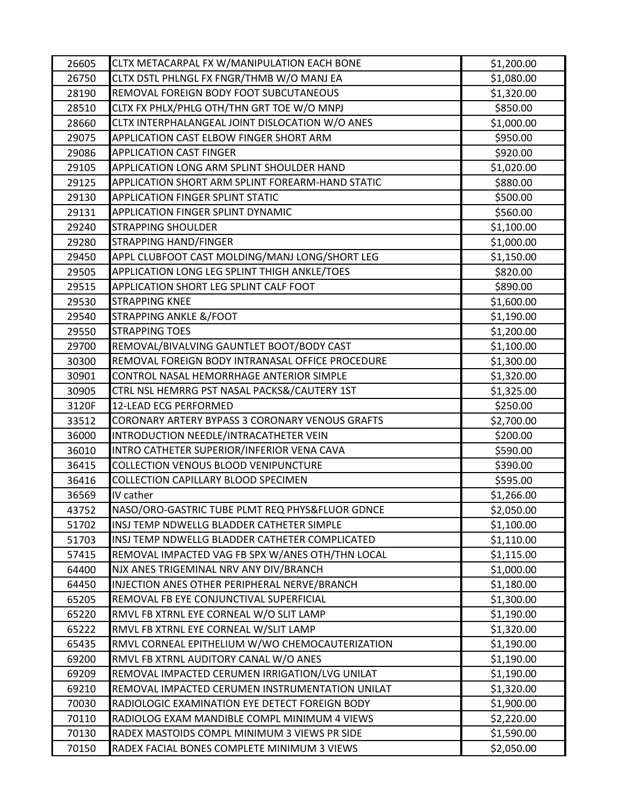| 26605          | CLTX METACARPAL FX W/MANIPULATION EACH BONE                                              | \$1,200.00               |
|----------------|------------------------------------------------------------------------------------------|--------------------------|
| 26750          | CLTX DSTL PHLNGL FX FNGR/THMB W/O MANJ EA                                                | \$1,080.00               |
| 28190          | REMOVAL FOREIGN BODY FOOT SUBCUTANEOUS                                                   | \$1,320.00               |
| 28510          | CLTX FX PHLX/PHLG OTH/THN GRT TOE W/O MNPJ                                               | \$850.00                 |
| 28660          | CLTX INTERPHALANGEAL JOINT DISLOCATION W/O ANES                                          | \$1,000.00               |
| 29075          | APPLICATION CAST ELBOW FINGER SHORT ARM                                                  | \$950.00                 |
| 29086          | <b>APPLICATION CAST FINGER</b>                                                           | \$920.00                 |
| 29105          | APPLICATION LONG ARM SPLINT SHOULDER HAND                                                | \$1,020.00               |
| 29125          | APPLICATION SHORT ARM SPLINT FOREARM-HAND STATIC                                         | \$880.00                 |
| 29130          | <b>APPLICATION FINGER SPLINT STATIC</b>                                                  | \$500.00                 |
| 29131          | <b>APPLICATION FINGER SPLINT DYNAMIC</b>                                                 | \$560.00                 |
| 29240          | <b>STRAPPING SHOULDER</b>                                                                | \$1,100.00               |
| 29280          | STRAPPING HAND/FINGER                                                                    | \$1,000.00               |
| 29450          | APPL CLUBFOOT CAST MOLDING/MANJ LONG/SHORT LEG                                           | \$1,150.00               |
| 29505          | APPLICATION LONG LEG SPLINT THIGH ANKLE/TOES                                             | \$820.00                 |
| 29515          | APPLICATION SHORT LEG SPLINT CALF FOOT                                                   | \$890.00                 |
| 29530          | <b>STRAPPING KNEE</b>                                                                    | \$1,600.00               |
| 29540          | <b>STRAPPING ANKLE &amp;/FOOT</b>                                                        | \$1,190.00               |
| 29550          | <b>STRAPPING TOES</b>                                                                    | \$1,200.00               |
| 29700          | REMOVAL/BIVALVING GAUNTLET BOOT/BODY CAST                                                | \$1,100.00               |
| 30300          | REMOVAL FOREIGN BODY INTRANASAL OFFICE PROCEDURE                                         | \$1,300.00               |
| 30901          | CONTROL NASAL HEMORRHAGE ANTERIOR SIMPLE                                                 | \$1,320.00               |
| 30905          | CTRL NSL HEMRRG PST NASAL PACKS&/CAUTERY 1ST                                             | \$1,325.00               |
| 3120F          | 12-LEAD ECG PERFORMED                                                                    | \$250.00                 |
| 33512          | CORONARY ARTERY BYPASS 3 CORONARY VENOUS GRAFTS                                          | \$2,700.00               |
| 36000          | INTRODUCTION NEEDLE/INTRACATHETER VEIN                                                   | \$200.00                 |
| 36010          | INTRO CATHETER SUPERIOR/INFERIOR VENA CAVA                                               | \$590.00                 |
| 36415          | COLLECTION VENOUS BLOOD VENIPUNCTURE                                                     | \$390.00                 |
| 36416          | COLLECTION CAPILLARY BLOOD SPECIMEN                                                      | \$595.00                 |
| 36569          | IV cather                                                                                | \$1,266.00               |
| 43752          | NASO/ORO-GASTRIC TUBE PLMT REQ PHYS&FLUOR GDNCE                                          | \$2,050.00               |
| 51702          | INSJ TEMP NDWELLG BLADDER CATHETER SIMPLE                                                | \$1,100.00               |
| 51703          | INSJ TEMP NDWELLG BLADDER CATHETER COMPLICATED                                           | \$1,110.00               |
| 57415          | REMOVAL IMPACTED VAG FB SPX W/ANES OTH/THN LOCAL                                         | \$1,115.00               |
| 64400          | NJX ANES TRIGEMINAL NRV ANY DIV/BRANCH                                                   | \$1,000.00               |
| 64450          | INJECTION ANES OTHER PERIPHERAL NERVE/BRANCH                                             | \$1,180.00               |
| 65205          | REMOVAL FB EYE CONJUNCTIVAL SUPERFICIAL                                                  | \$1,300.00               |
| 65220          | RMVL FB XTRNL EYE CORNEAL W/O SLIT LAMP<br>RMVL FB XTRNL EYE CORNEAL W/SLIT LAMP         | \$1,190.00               |
| 65222          |                                                                                          | \$1,320.00               |
| 65435<br>69200 | RMVL CORNEAL EPITHELIUM W/WO CHEMOCAUTERIZATION<br>RMVL FB XTRNL AUDITORY CANAL W/O ANES | \$1,190.00<br>\$1,190.00 |
| 69209          | REMOVAL IMPACTED CERUMEN IRRIGATION/LVG UNILAT                                           | \$1,190.00               |
| 69210          | REMOVAL IMPACTED CERUMEN INSTRUMENTATION UNILAT                                          | \$1,320.00               |
| 70030          | RADIOLOGIC EXAMINATION EYE DETECT FOREIGN BODY                                           | \$1,900.00               |
| 70110          | RADIOLOG EXAM MANDIBLE COMPL MINIMUM 4 VIEWS                                             | \$2,220.00               |
| 70130          | RADEX MASTOIDS COMPL MINIMUM 3 VIEWS PR SIDE                                             | \$1,590.00               |
| 70150          | RADEX FACIAL BONES COMPLETE MINIMUM 3 VIEWS                                              | \$2,050.00               |
|                |                                                                                          |                          |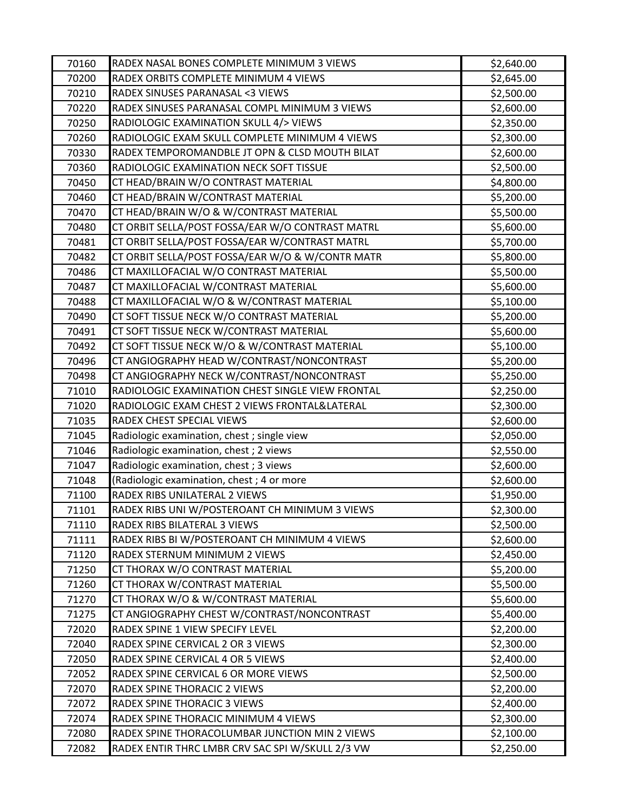| 70160          | RADEX NASAL BONES COMPLETE MINIMUM 3 VIEWS                             | \$2,640.00               |
|----------------|------------------------------------------------------------------------|--------------------------|
| 70200          | RADEX ORBITS COMPLETE MINIMUM 4 VIEWS                                  | \$2,645.00               |
| 70210          | RADEX SINUSES PARANASAL <3 VIEWS                                       | \$2,500.00               |
| 70220          | RADEX SINUSES PARANASAL COMPL MINIMUM 3 VIEWS                          | \$2,600.00               |
| 70250          | RADIOLOGIC EXAMINATION SKULL 4/> VIEWS                                 | \$2,350.00               |
| 70260          | RADIOLOGIC EXAM SKULL COMPLETE MINIMUM 4 VIEWS                         | \$2,300.00               |
| 70330          | RADEX TEMPOROMANDBLE JT OPN & CLSD MOUTH BILAT                         | \$2,600.00               |
| 70360          | RADIOLOGIC EXAMINATION NECK SOFT TISSUE                                | \$2,500.00               |
| 70450          | CT HEAD/BRAIN W/O CONTRAST MATERIAL                                    | \$4,800.00               |
| 70460          | CT HEAD/BRAIN W/CONTRAST MATERIAL                                      | \$5,200.00               |
| 70470          | CT HEAD/BRAIN W/O & W/CONTRAST MATERIAL                                | \$5,500.00               |
| 70480          | CT ORBIT SELLA/POST FOSSA/EAR W/O CONTRAST MATRL                       | \$5,600.00               |
| 70481          | CT ORBIT SELLA/POST FOSSA/EAR W/CONTRAST MATRL                         | \$5,700.00               |
| 70482          | CT ORBIT SELLA/POST FOSSA/EAR W/O & W/CONTR MATR                       | \$5,800.00               |
| 70486          | CT MAXILLOFACIAL W/O CONTRAST MATERIAL                                 | \$5,500.00               |
| 70487          | CT MAXILLOFACIAL W/CONTRAST MATERIAL                                   | \$5,600.00               |
| 70488          | CT MAXILLOFACIAL W/O & W/CONTRAST MATERIAL                             | \$5,100.00               |
| 70490          | CT SOFT TISSUE NECK W/O CONTRAST MATERIAL                              | \$5,200.00               |
| 70491          | CT SOFT TISSUE NECK W/CONTRAST MATERIAL                                | \$5,600.00               |
| 70492          | CT SOFT TISSUE NECK W/O & W/CONTRAST MATERIAL                          | \$5,100.00               |
| 70496          | CT ANGIOGRAPHY HEAD W/CONTRAST/NONCONTRAST                             | \$5,200.00               |
| 70498          | CT ANGIOGRAPHY NECK W/CONTRAST/NONCONTRAST                             | \$5,250.00               |
| 71010          | RADIOLOGIC EXAMINATION CHEST SINGLE VIEW FRONTAL                       | \$2,250.00               |
| 71020          | RADIOLOGIC EXAM CHEST 2 VIEWS FRONTAL&LATERAL                          | \$2,300.00               |
| 71035          | RADEX CHEST SPECIAL VIEWS                                              | \$2,600.00               |
| 71045          | Radiologic examination, chest ; single view                            | \$2,050.00               |
| 71046          | Radiologic examination, chest; 2 views                                 | \$2,550.00               |
| 71047          | Radiologic examination, chest; 3 views                                 | \$2,600.00               |
| 71048          | (Radiologic examination, chest; 4 or more                              | \$2,600.00               |
| 71100          | RADEX RIBS UNILATERAL 2 VIEWS                                          | \$1,950.00               |
| 71101          | RADEX RIBS UNI W/POSTEROANT CH MINIMUM 3 VIEWS                         | \$2,300.00               |
| 71110          | RADEX RIBS BILATERAL 3 VIEWS                                           | \$2,500.00               |
| 71111          | RADEX RIBS BI W/POSTEROANT CH MINIMUM 4 VIEWS                          | \$2,600.00               |
| 71120          | RADEX STERNUM MINIMUM 2 VIEWS                                          | \$2,450.00               |
| 71250          | CT THORAX W/O CONTRAST MATERIAL                                        | \$5,200.00               |
| 71260          | CT THORAX W/CONTRAST MATERIAL                                          | \$5,500.00               |
| 71270          | CT THORAX W/O & W/CONTRAST MATERIAL                                    | \$5,600.00               |
| 71275          | CT ANGIOGRAPHY CHEST W/CONTRAST/NONCONTRAST                            | \$5,400.00               |
| 72020          | RADEX SPINE 1 VIEW SPECIFY LEVEL                                       | \$2,200.00               |
| 72040          | RADEX SPINE CERVICAL 2 OR 3 VIEWS<br>RADEX SPINE CERVICAL 4 OR 5 VIEWS | \$2,300.00               |
| 72050<br>72052 | RADEX SPINE CERVICAL 6 OR MORE VIEWS                                   | \$2,400.00<br>\$2,500.00 |
| 72070          | RADEX SPINE THORACIC 2 VIEWS                                           | \$2,200.00               |
| 72072          | RADEX SPINE THORACIC 3 VIEWS                                           | \$2,400.00               |
| 72074          | RADEX SPINE THORACIC MINIMUM 4 VIEWS                                   | \$2,300.00               |
| 72080          | RADEX SPINE THORACOLUMBAR JUNCTION MIN 2 VIEWS                         | \$2,100.00               |
| 72082          | RADEX ENTIR THRC LMBR CRV SAC SPI W/SKULL 2/3 VW                       | \$2,250.00               |
|                |                                                                        |                          |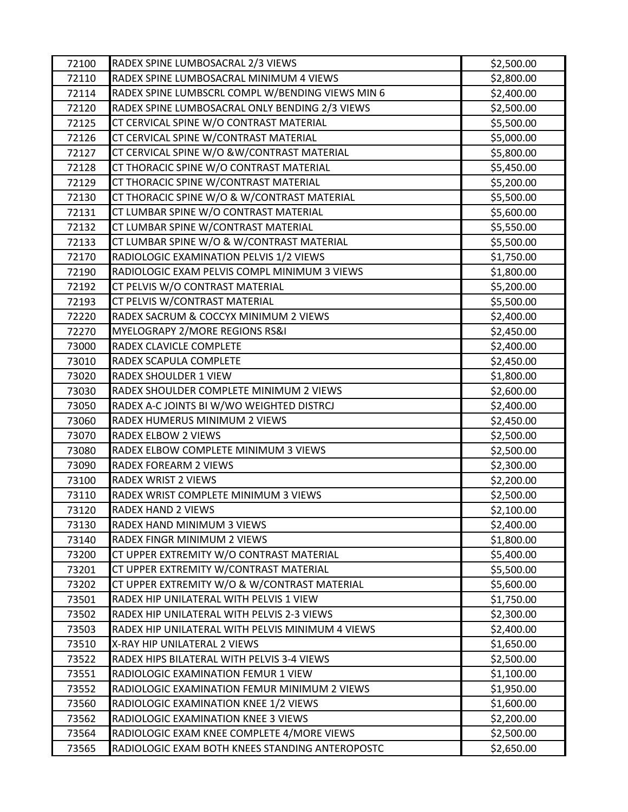| 72100 | RADEX SPINE LUMBOSACRAL 2/3 VIEWS                | \$2,500.00 |
|-------|--------------------------------------------------|------------|
| 72110 | RADEX SPINE LUMBOSACRAL MINIMUM 4 VIEWS          | \$2,800.00 |
| 72114 | RADEX SPINE LUMBSCRL COMPL W/BENDING VIEWS MIN 6 | \$2,400.00 |
| 72120 | RADEX SPINE LUMBOSACRAL ONLY BENDING 2/3 VIEWS   | \$2,500.00 |
| 72125 | CT CERVICAL SPINE W/O CONTRAST MATERIAL          | \$5,500.00 |
| 72126 | CT CERVICAL SPINE W/CONTRAST MATERIAL            | \$5,000.00 |
| 72127 | CT CERVICAL SPINE W/O &W/CONTRAST MATERIAL       | \$5,800.00 |
| 72128 | CT THORACIC SPINE W/O CONTRAST MATERIAL          | \$5,450.00 |
| 72129 | CT THORACIC SPINE W/CONTRAST MATERIAL            | \$5,200.00 |
| 72130 | CT THORACIC SPINE W/O & W/CONTRAST MATERIAL      | \$5,500.00 |
| 72131 | CT LUMBAR SPINE W/O CONTRAST MATERIAL            | \$5,600.00 |
| 72132 | CT LUMBAR SPINE W/CONTRAST MATERIAL              | \$5,550.00 |
| 72133 | CT LUMBAR SPINE W/O & W/CONTRAST MATERIAL        | \$5,500.00 |
| 72170 | RADIOLOGIC EXAMINATION PELVIS 1/2 VIEWS          | \$1,750.00 |
| 72190 | RADIOLOGIC EXAM PELVIS COMPL MINIMUM 3 VIEWS     | \$1,800.00 |
| 72192 | CT PELVIS W/O CONTRAST MATERIAL                  | \$5,200.00 |
| 72193 | CT PELVIS W/CONTRAST MATERIAL                    | \$5,500.00 |
| 72220 | RADEX SACRUM & COCCYX MINIMUM 2 VIEWS            | \$2,400.00 |
| 72270 | MYELOGRAPY 2/MORE REGIONS RS&I                   | \$2,450.00 |
| 73000 | RADEX CLAVICLE COMPLETE                          | \$2,400.00 |
| 73010 | RADEX SCAPULA COMPLETE                           | \$2,450.00 |
| 73020 | RADEX SHOULDER 1 VIEW                            | \$1,800.00 |
| 73030 | RADEX SHOULDER COMPLETE MINIMUM 2 VIEWS          | \$2,600.00 |
| 73050 | RADEX A-C JOINTS BI W/WO WEIGHTED DISTRCJ        | \$2,400.00 |
| 73060 | RADEX HUMERUS MINIMUM 2 VIEWS                    | \$2,450.00 |
| 73070 | RADEX ELBOW 2 VIEWS                              | \$2,500.00 |
| 73080 | RADEX ELBOW COMPLETE MINIMUM 3 VIEWS             | \$2,500.00 |
| 73090 | RADEX FOREARM 2 VIEWS                            | \$2,300.00 |
| 73100 | <b>RADEX WRIST 2 VIEWS</b>                       | \$2,200.00 |
| 73110 | RADEX WRIST COMPLETE MINIMUM 3 VIEWS             | \$2,500.00 |
| 73120 | <b>RADEX HAND 2 VIEWS</b>                        | \$2,100.00 |
| 73130 | RADEX HAND MINIMUM 3 VIEWS                       | \$2,400.00 |
| 73140 | RADEX FINGR MINIMUM 2 VIEWS                      | \$1,800.00 |
| 73200 | CT UPPER EXTREMITY W/O CONTRAST MATERIAL         | \$5,400.00 |
| 73201 | CT UPPER EXTREMITY W/CONTRAST MATERIAL           | \$5,500.00 |
| 73202 | CT UPPER EXTREMITY W/O & W/CONTRAST MATERIAL     | \$5,600.00 |
| 73501 | RADEX HIP UNILATERAL WITH PELVIS 1 VIEW          | \$1,750.00 |
| 73502 | RADEX HIP UNILATERAL WITH PELVIS 2-3 VIEWS       | \$2,300.00 |
| 73503 | RADEX HIP UNILATERAL WITH PELVIS MINIMUM 4 VIEWS | \$2,400.00 |
| 73510 | X-RAY HIP UNILATERAL 2 VIEWS                     | \$1,650.00 |
| 73522 | RADEX HIPS BILATERAL WITH PELVIS 3-4 VIEWS       | \$2,500.00 |
| 73551 | RADIOLOGIC EXAMINATION FEMUR 1 VIEW              | \$1,100.00 |
| 73552 | RADIOLOGIC EXAMINATION FEMUR MINIMUM 2 VIEWS     | \$1,950.00 |
| 73560 | RADIOLOGIC EXAMINATION KNEE 1/2 VIEWS            | \$1,600.00 |
| 73562 | RADIOLOGIC EXAMINATION KNEE 3 VIEWS              | \$2,200.00 |
| 73564 | RADIOLOGIC EXAM KNEE COMPLETE 4/MORE VIEWS       | \$2,500.00 |
| 73565 | RADIOLOGIC EXAM BOTH KNEES STANDING ANTEROPOSTC  | \$2,650.00 |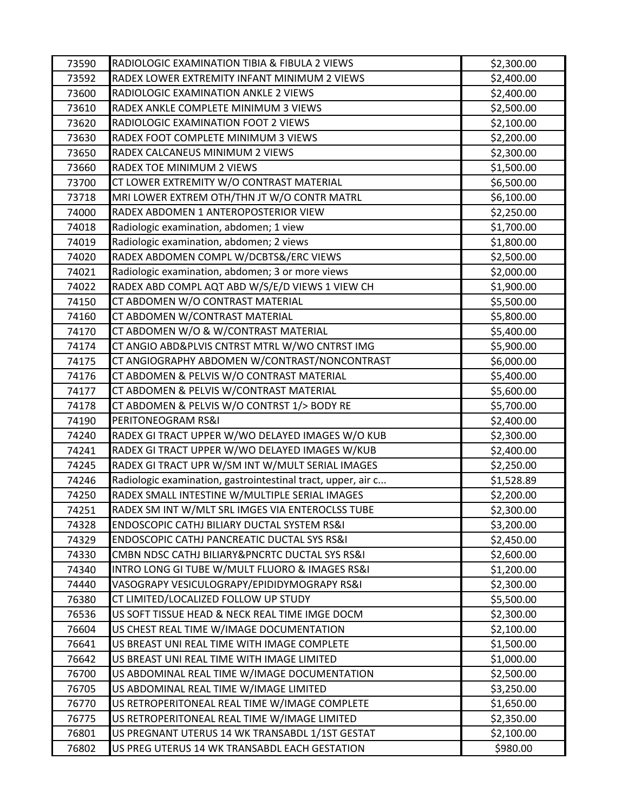| 73590          | RADIOLOGIC EXAMINATION TIBIA & FIBULA 2 VIEWS                                                 | \$2,300.00 |
|----------------|-----------------------------------------------------------------------------------------------|------------|
| 73592          | RADEX LOWER EXTREMITY INFANT MINIMUM 2 VIEWS                                                  | \$2,400.00 |
| 73600          | RADIOLOGIC EXAMINATION ANKLE 2 VIEWS                                                          | \$2,400.00 |
| 73610          | RADEX ANKLE COMPLETE MINIMUM 3 VIEWS                                                          | \$2,500.00 |
| 73620          | RADIOLOGIC EXAMINATION FOOT 2 VIEWS                                                           | \$2,100.00 |
| 73630          | RADEX FOOT COMPLETE MINIMUM 3 VIEWS                                                           | \$2,200.00 |
| 73650          | RADEX CALCANEUS MINIMUM 2 VIEWS                                                               | \$2,300.00 |
| 73660          | RADEX TOE MINIMUM 2 VIEWS                                                                     | \$1,500.00 |
| 73700          | CT LOWER EXTREMITY W/O CONTRAST MATERIAL                                                      | \$6,500.00 |
| 73718          | MRI LOWER EXTREM OTH/THN JT W/O CONTR MATRL                                                   | \$6,100.00 |
| 74000          | RADEX ABDOMEN 1 ANTEROPOSTERIOR VIEW                                                          | \$2,250.00 |
| 74018          | Radiologic examination, abdomen; 1 view                                                       | \$1,700.00 |
| 74019          | Radiologic examination, abdomen; 2 views                                                      | \$1,800.00 |
| 74020          | RADEX ABDOMEN COMPL W/DCBTS&/ERC VIEWS                                                        | \$2,500.00 |
| 74021          | Radiologic examination, abdomen; 3 or more views                                              | \$2,000.00 |
| 74022          | RADEX ABD COMPL AQT ABD W/S/E/D VIEWS 1 VIEW CH                                               | \$1,900.00 |
| 74150          | CT ABDOMEN W/O CONTRAST MATERIAL                                                              | \$5,500.00 |
| 74160          | CT ABDOMEN W/CONTRAST MATERIAL                                                                | \$5,800.00 |
| 74170          | CT ABDOMEN W/O & W/CONTRAST MATERIAL                                                          | \$5,400.00 |
| 74174          | CT ANGIO ABD&PLVIS CNTRST MTRL W/WO CNTRST IMG                                                | \$5,900.00 |
| 74175          | CT ANGIOGRAPHY ABDOMEN W/CONTRAST/NONCONTRAST                                                 | \$6,000.00 |
| 74176          | CT ABDOMEN & PELVIS W/O CONTRAST MATERIAL                                                     | \$5,400.00 |
| 74177          | CT ABDOMEN & PELVIS W/CONTRAST MATERIAL                                                       | \$5,600.00 |
| 74178          | CT ABDOMEN & PELVIS W/O CONTRST 1/> BODY RE                                                   | \$5,700.00 |
| 74190          | PERITONEOGRAM RS&I                                                                            | \$2,400.00 |
| 74240          | RADEX GI TRACT UPPER W/WO DELAYED IMAGES W/O KUB                                              | \$2,300.00 |
| 74241          | RADEX GI TRACT UPPER W/WO DELAYED IMAGES W/KUB                                                | \$2,400.00 |
| 74245          | RADEX GI TRACT UPR W/SM INT W/MULT SERIAL IMAGES                                              | \$2,250.00 |
| 74246          | Radiologic examination, gastrointestinal tract, upper, air c                                  | \$1,528.89 |
| 74250          | RADEX SMALL INTESTINE W/MULTIPLE SERIAL IMAGES                                                | \$2,200.00 |
| 74251          | RADEX SM INT W/MLT SRL IMGES VIA ENTEROCLSS TUBE                                              | \$2,300.00 |
| 74328          | <b>ENDOSCOPIC CATHJ BILIARY DUCTAL SYSTEM RS&amp;I</b>                                        | \$3,200.00 |
| 74329          | ENDOSCOPIC CATHJ PANCREATIC DUCTAL SYS RS&I                                                   | \$2,450.00 |
| 74330          | CMBN NDSC CATHJ BILIARY&PNCRTC DUCTAL SYS RS&I                                                | \$2,600.00 |
| 74340          | INTRO LONG GI TUBE W/MULT FLUORO & IMAGES RS&I                                                | \$1,200.00 |
| 74440          | VASOGRAPY VESICULOGRAPY/EPIDIDYMOGRAPY RS&I                                                   | \$2,300.00 |
| 76380          | CT LIMITED/LOCALIZED FOLLOW UP STUDY                                                          | \$5,500.00 |
| 76536          | US SOFT TISSUE HEAD & NECK REAL TIME IMGE DOCM                                                | \$2,300.00 |
| 76604          | US CHEST REAL TIME W/IMAGE DOCUMENTATION                                                      | \$2,100.00 |
| 76641          | US BREAST UNI REAL TIME WITH IMAGE COMPLETE                                                   | \$1,500.00 |
| 76642          | US BREAST UNI REAL TIME WITH IMAGE LIMITED                                                    | \$1,000.00 |
| 76700<br>76705 | US ABDOMINAL REAL TIME W/IMAGE DOCUMENTATION<br>US ABDOMINAL REAL TIME W/IMAGE LIMITED        | \$2,500.00 |
|                |                                                                                               | \$3,250.00 |
| 76770          | US RETROPERITONEAL REAL TIME W/IMAGE COMPLETE<br>US RETROPERITONEAL REAL TIME W/IMAGE LIMITED | \$1,650.00 |
| 76775<br>76801 | US PREGNANT UTERUS 14 WK TRANSABDL 1/1ST GESTAT                                               | \$2,350.00 |
|                |                                                                                               | \$2,100.00 |
| 76802          | US PREG UTERUS 14 WK TRANSABDL EACH GESTATION                                                 | \$980.00   |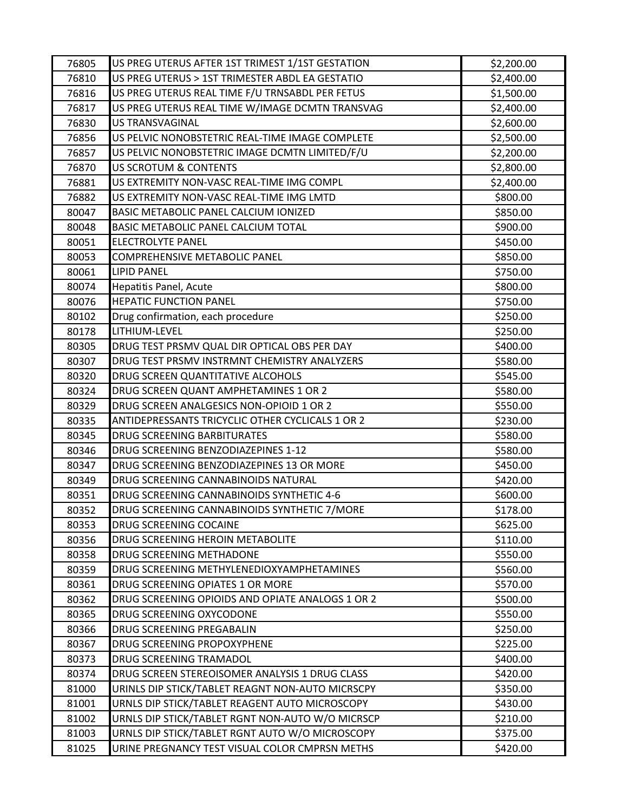| 76805 | US PREG UTERUS AFTER 1ST TRIMEST 1/1ST GESTATION | \$2,200.00 |
|-------|--------------------------------------------------|------------|
| 76810 | US PREG UTERUS > 1ST TRIMESTER ABDL EA GESTATIO  | \$2,400.00 |
| 76816 | US PREG UTERUS REAL TIME F/U TRNSABDL PER FETUS  | \$1,500.00 |
| 76817 | US PREG UTERUS REAL TIME W/IMAGE DCMTN TRANSVAG  | \$2,400.00 |
| 76830 | <b>US TRANSVAGINAL</b>                           | \$2,600.00 |
| 76856 | US PELVIC NONOBSTETRIC REAL-TIME IMAGE COMPLETE  | \$2,500.00 |
| 76857 | US PELVIC NONOBSTETRIC IMAGE DCMTN LIMITED/F/U   | \$2,200.00 |
| 76870 | <b>US SCROTUM &amp; CONTENTS</b>                 | \$2,800.00 |
| 76881 | US EXTREMITY NON-VASC REAL-TIME IMG COMPL        | \$2,400.00 |
| 76882 | US EXTREMITY NON-VASC REAL-TIME IMG LMTD         | \$800.00   |
| 80047 | BASIC METABOLIC PANEL CALCIUM IONIZED            | \$850.00   |
| 80048 | BASIC METABOLIC PANEL CALCIUM TOTAL              | \$900.00   |
| 80051 | ELECTROLYTE PANEL                                | \$450.00   |
| 80053 | COMPREHENSIVE METABOLIC PANEL                    | \$850.00   |
| 80061 | <b>LIPID PANEL</b>                               | \$750.00   |
| 80074 | Hepatitis Panel, Acute                           | \$800.00   |
| 80076 | <b>HEPATIC FUNCTION PANEL</b>                    | \$750.00   |
| 80102 | Drug confirmation, each procedure                | \$250.00   |
| 80178 | LITHIUM-LEVEL                                    | \$250.00   |
| 80305 | DRUG TEST PRSMV QUAL DIR OPTICAL OBS PER DAY     | \$400.00   |
| 80307 | DRUG TEST PRSMV INSTRMNT CHEMISTRY ANALYZERS     | \$580.00   |
| 80320 | DRUG SCREEN QUANTITATIVE ALCOHOLS                | \$545.00   |
| 80324 | DRUG SCREEN QUANT AMPHETAMINES 1 OR 2            | \$580.00   |
| 80329 | DRUG SCREEN ANALGESICS NON-OPIOID 1 OR 2         | \$550.00   |
| 80335 | ANTIDEPRESSANTS TRICYCLIC OTHER CYCLICALS 1 OR 2 | \$230.00   |
| 80345 | <b>DRUG SCREENING BARBITURATES</b>               | \$580.00   |
| 80346 | DRUG SCREENING BENZODIAZEPINES 1-12              | \$580.00   |
| 80347 | DRUG SCREENING BENZODIAZEPINES 13 OR MORE        | \$450.00   |
| 80349 | DRUG SCREENING CANNABINOIDS NATURAL              | \$420.00   |
| 80351 | DRUG SCREENING CANNABINOIDS SYNTHETIC 4-6        | \$600.00   |
| 80352 | DRUG SCREENING CANNABINOIDS SYNTHETIC 7/MORE     | \$178.00   |
| 80353 | DRUG SCREENING COCAINE                           | \$625.00   |
| 80356 | DRUG SCREENING HEROIN METABOLITE                 | \$110.00   |
| 80358 | DRUG SCREENING METHADONE                         | \$550.00   |
| 80359 | DRUG SCREENING METHYLENEDIOXYAMPHETAMINES        | \$560.00   |
| 80361 | DRUG SCREENING OPIATES 1 OR MORE                 | \$570.00   |
| 80362 | DRUG SCREENING OPIOIDS AND OPIATE ANALOGS 1 OR 2 | \$500.00   |
| 80365 | DRUG SCREENING OXYCODONE                         | \$550.00   |
| 80366 | DRUG SCREENING PREGABALIN                        | \$250.00   |
| 80367 | DRUG SCREENING PROPOXYPHENE                      | \$225.00   |
| 80373 | DRUG SCREENING TRAMADOL                          | \$400.00   |
| 80374 | DRUG SCREEN STEREOISOMER ANALYSIS 1 DRUG CLASS   | \$420.00   |
| 81000 | URINLS DIP STICK/TABLET REAGNT NON-AUTO MICRSCPY | \$350.00   |
| 81001 | URNLS DIP STICK/TABLET REAGENT AUTO MICROSCOPY   | \$430.00   |
| 81002 | URNLS DIP STICK/TABLET RGNT NON-AUTO W/O MICRSCP | \$210.00   |
| 81003 | URNLS DIP STICK/TABLET RGNT AUTO W/O MICROSCOPY  | \$375.00   |
| 81025 | URINE PREGNANCY TEST VISUAL COLOR CMPRSN METHS   | \$420.00   |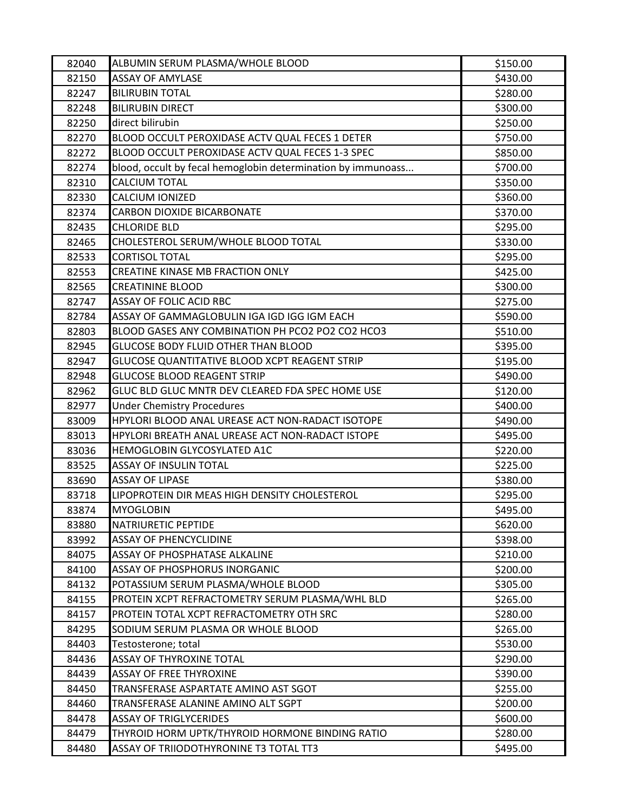| 82040 | ALBUMIN SERUM PLASMA/WHOLE BLOOD                             | \$150.00 |
|-------|--------------------------------------------------------------|----------|
| 82150 | <b>ASSAY OF AMYLASE</b>                                      | \$430.00 |
| 82247 | <b>BILIRUBIN TOTAL</b>                                       | \$280.00 |
| 82248 | <b>BILIRUBIN DIRECT</b>                                      | \$300.00 |
| 82250 | direct bilirubin                                             | \$250.00 |
| 82270 | BLOOD OCCULT PEROXIDASE ACTV QUAL FECES 1 DETER              | \$750.00 |
| 82272 | BLOOD OCCULT PEROXIDASE ACTV QUAL FECES 1-3 SPEC             | \$850.00 |
| 82274 | blood, occult by fecal hemoglobin determination by immunoass | \$700.00 |
| 82310 | <b>CALCIUM TOTAL</b>                                         | \$350.00 |
| 82330 | <b>CALCIUM IONIZED</b>                                       | \$360.00 |
| 82374 | <b>CARBON DIOXIDE BICARBONATE</b>                            | \$370.00 |
| 82435 | <b>CHLORIDE BLD</b>                                          | \$295.00 |
| 82465 | CHOLESTEROL SERUM/WHOLE BLOOD TOTAL                          | \$330.00 |
| 82533 | <b>CORTISOL TOTAL</b>                                        | \$295.00 |
| 82553 | CREATINE KINASE MB FRACTION ONLY                             | \$425.00 |
| 82565 | <b>CREATININE BLOOD</b>                                      | \$300.00 |
| 82747 | ASSAY OF FOLIC ACID RBC                                      | \$275.00 |
| 82784 | ASSAY OF GAMMAGLOBULIN IGA IGD IGG IGM EACH                  | \$590.00 |
| 82803 | BLOOD GASES ANY COMBINATION PH PCO2 PO2 CO2 HCO3             | \$510.00 |
| 82945 | <b>GLUCOSE BODY FLUID OTHER THAN BLOOD</b>                   | \$395.00 |
| 82947 | GLUCOSE QUANTITATIVE BLOOD XCPT REAGENT STRIP                | \$195.00 |
| 82948 | <b>GLUCOSE BLOOD REAGENT STRIP</b>                           | \$490.00 |
| 82962 | GLUC BLD GLUC MNTR DEV CLEARED FDA SPEC HOME USE             | \$120.00 |
| 82977 | <b>Under Chemistry Procedures</b>                            | \$400.00 |
| 83009 | HPYLORI BLOOD ANAL UREASE ACT NON-RADACT ISOTOPE             | \$490.00 |
| 83013 | HPYLORI BREATH ANAL UREASE ACT NON-RADACT ISTOPE             | \$495.00 |
| 83036 | HEMOGLOBIN GLYCOSYLATED A1C                                  | \$220.00 |
| 83525 | <b>ASSAY OF INSULIN TOTAL</b>                                | \$225.00 |
| 83690 | <b>ASSAY OF LIPASE</b>                                       | \$380.00 |
| 83718 | LIPOPROTEIN DIR MEAS HIGH DENSITY CHOLESTEROL                | \$295.00 |
| 83874 | <b>MYOGLOBIN</b>                                             | \$495.00 |
| 83880 | <b>NATRIURETIC PEPTIDE</b>                                   | \$620.00 |
| 83992 | <b>ASSAY OF PHENCYCLIDINE</b>                                | \$398.00 |
| 84075 | ASSAY OF PHOSPHATASE ALKALINE                                | \$210.00 |
| 84100 | <b>ASSAY OF PHOSPHORUS INORGANIC</b>                         | \$200.00 |
| 84132 | POTASSIUM SERUM PLASMA/WHOLE BLOOD                           | \$305.00 |
| 84155 | PROTEIN XCPT REFRACTOMETRY SERUM PLASMA/WHL BLD              | \$265.00 |
| 84157 | PROTEIN TOTAL XCPT REFRACTOMETRY OTH SRC                     | \$280.00 |
| 84295 | SODIUM SERUM PLASMA OR WHOLE BLOOD                           | \$265.00 |
| 84403 | Testosterone; total                                          | \$530.00 |
| 84436 | <b>ASSAY OF THYROXINE TOTAL</b>                              | \$290.00 |
| 84439 | <b>ASSAY OF FREE THYROXINE</b>                               | \$390.00 |
| 84450 | TRANSFERASE ASPARTATE AMINO AST SGOT                         | \$255.00 |
| 84460 | TRANSFERASE ALANINE AMINO ALT SGPT                           | \$200.00 |
| 84478 | <b>ASSAY OF TRIGLYCERIDES</b>                                | \$600.00 |
| 84479 | THYROID HORM UPTK/THYROID HORMONE BINDING RATIO              | \$280.00 |
| 84480 | ASSAY OF TRIIODOTHYRONINE T3 TOTAL TT3                       | \$495.00 |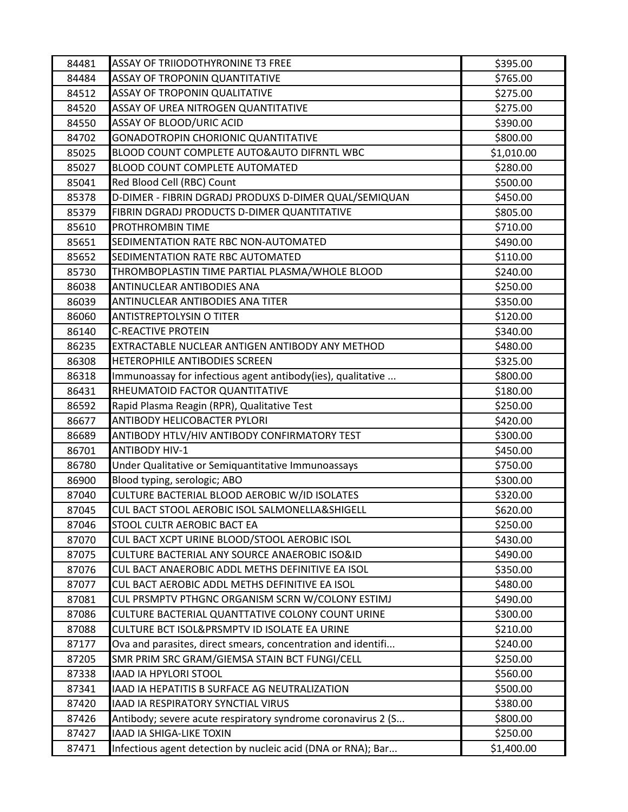| 84481 | <b>ASSAY OF TRIIODOTHYRONINE T3 FREE</b>                     | \$395.00   |
|-------|--------------------------------------------------------------|------------|
| 84484 | ASSAY OF TROPONIN QUANTITATIVE                               | \$765.00   |
| 84512 | ASSAY OF TROPONIN QUALITATIVE                                | \$275.00   |
| 84520 | ASSAY OF UREA NITROGEN QUANTITATIVE                          | \$275.00   |
| 84550 | ASSAY OF BLOOD/URIC ACID                                     | \$390.00   |
| 84702 | <b>GONADOTROPIN CHORIONIC QUANTITATIVE</b>                   | \$800.00   |
| 85025 | BLOOD COUNT COMPLETE AUTO&AUTO DIFRNTL WBC                   | \$1,010.00 |
| 85027 | <b>BLOOD COUNT COMPLETE AUTOMATED</b>                        | \$280.00   |
| 85041 | Red Blood Cell (RBC) Count                                   | \$500.00   |
| 85378 | D-DIMER - FIBRIN DGRADJ PRODUXS D-DIMER QUAL/SEMIQUAN        | \$450.00   |
| 85379 | FIBRIN DGRADJ PRODUCTS D-DIMER QUANTITATIVE                  | \$805.00   |
| 85610 | <b>PROTHROMBIN TIME</b>                                      | \$710.00   |
| 85651 | SEDIMENTATION RATE RBC NON-AUTOMATED                         | \$490.00   |
| 85652 | SEDIMENTATION RATE RBC AUTOMATED                             | \$110.00   |
| 85730 | THROMBOPLASTIN TIME PARTIAL PLASMA/WHOLE BLOOD               | \$240.00   |
| 86038 | <b>ANTINUCLEAR ANTIBODIES ANA</b>                            | \$250.00   |
| 86039 | ANTINUCLEAR ANTIBODIES ANA TITER                             | \$350.00   |
| 86060 | ANTISTREPTOLYSIN O TITER                                     | \$120.00   |
| 86140 | <b>C-REACTIVE PROTEIN</b>                                    | \$340.00   |
| 86235 | EXTRACTABLE NUCLEAR ANTIGEN ANTIBODY ANY METHOD              | \$480.00   |
| 86308 | <b>HETEROPHILE ANTIBODIES SCREEN</b>                         | \$325.00   |
| 86318 | Immunoassay for infectious agent antibody(ies), qualitative  | \$800.00   |
| 86431 | RHEUMATOID FACTOR QUANTITATIVE                               | \$180.00   |
| 86592 | Rapid Plasma Reagin (RPR), Qualitative Test                  | \$250.00   |
| 86677 | <b>ANTIBODY HELICOBACTER PYLORI</b>                          | \$420.00   |
| 86689 | ANTIBODY HTLV/HIV ANTIBODY CONFIRMATORY TEST                 | \$300.00   |
| 86701 | <b>ANTIBODY HIV-1</b>                                        | \$450.00   |
| 86780 | Under Qualitative or Semiquantitative Immunoassays           | \$750.00   |
| 86900 | Blood typing, serologic; ABO                                 | \$300.00   |
| 87040 | CULTURE BACTERIAL BLOOD AEROBIC W/ID ISOLATES                | \$320.00   |
| 87045 | CUL BACT STOOL AEROBIC ISOL SALMONELLA&SHIGELL               | \$620.00   |
| 87046 | STOOL CULTR AEROBIC BACT EA                                  | \$250.00   |
| 87070 | CUL BACT XCPT URINE BLOOD/STOOL AEROBIC ISOL                 | \$430.00   |
| 87075 | CULTURE BACTERIAL ANY SOURCE ANAEROBIC ISO&ID                | \$490.00   |
| 87076 | CUL BACT ANAEROBIC ADDL METHS DEFINITIVE EA ISOL             | \$350.00   |
| 87077 | CUL BACT AEROBIC ADDL METHS DEFINITIVE EA ISOL               | \$480.00   |
| 87081 | CUL PRSMPTV PTHGNC ORGANISM SCRN W/COLONY ESTIMJ             | \$490.00   |
| 87086 | CULTURE BACTERIAL QUANTTATIVE COLONY COUNT URINE             | \$300.00   |
| 87088 | CULTURE BCT ISOL&PRSMPTV ID ISOLATE EA URINE                 | \$210.00   |
| 87177 | Ova and parasites, direct smears, concentration and identifi | \$240.00   |
| 87205 | SMR PRIM SRC GRAM/GIEMSA STAIN BCT FUNGI/CELL                | \$250.00   |
| 87338 | IAAD IA HPYLORI STOOL                                        | \$560.00   |
| 87341 | IAAD IA HEPATITIS B SURFACE AG NEUTRALIZATION                | \$500.00   |
| 87420 | IAAD IA RESPIRATORY SYNCTIAL VIRUS                           | \$380.00   |
| 87426 | Antibody; severe acute respiratory syndrome coronavirus 2 (S | \$800.00   |
| 87427 | IAAD IA SHIGA-LIKE TOXIN                                     | \$250.00   |
| 87471 | Infectious agent detection by nucleic acid (DNA or RNA); Bar | \$1,400.00 |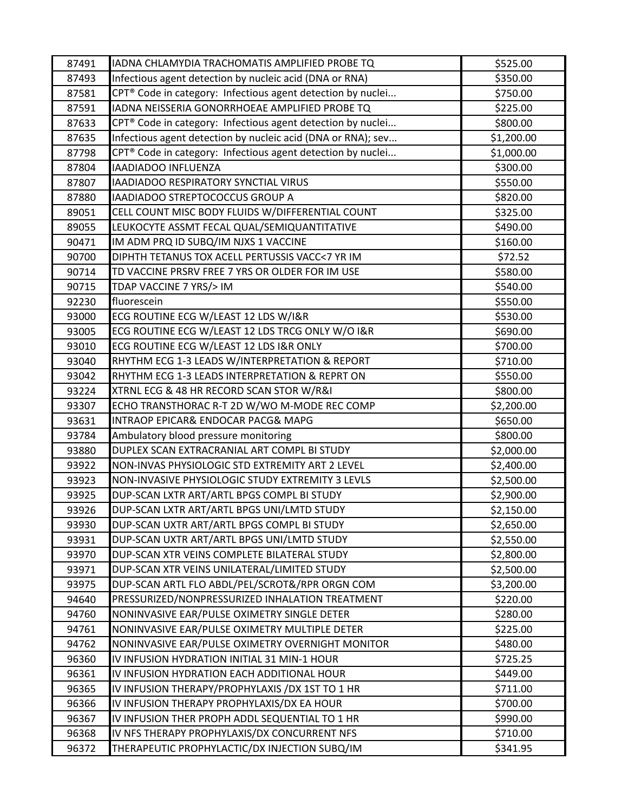| 87491 | IADNA CHLAMYDIA TRACHOMATIS AMPLIFIED PROBE TQ                          | \$525.00   |
|-------|-------------------------------------------------------------------------|------------|
| 87493 | Infectious agent detection by nucleic acid (DNA or RNA)                 | \$350.00   |
| 87581 | CPT <sup>®</sup> Code in category: Infectious agent detection by nuclei | \$750.00   |
| 87591 | IADNA NEISSERIA GONORRHOEAE AMPLIFIED PROBE TQ                          | \$225.00   |
| 87633 | CPT® Code in category: Infectious agent detection by nuclei             | \$800.00   |
| 87635 | Infectious agent detection by nucleic acid (DNA or RNA); sev            | \$1,200.00 |
| 87798 | CPT® Code in category: Infectious agent detection by nuclei             | \$1,000.00 |
| 87804 | IAADIADOO INFLUENZA                                                     | \$300.00   |
| 87807 | IAADIADOO RESPIRATORY SYNCTIAL VIRUS                                    | \$550.00   |
| 87880 | IAADIADOO STREPTOCOCCUS GROUP A                                         | \$820.00   |
| 89051 | CELL COUNT MISC BODY FLUIDS W/DIFFERENTIAL COUNT                        | \$325.00   |
| 89055 | LEUKOCYTE ASSMT FECAL QUAL/SEMIQUANTITATIVE                             | \$490.00   |
| 90471 | IM ADM PRQ ID SUBQ/IM NJXS 1 VACCINE                                    | \$160.00   |
| 90700 | DIPHTH TETANUS TOX ACELL PERTUSSIS VACC<7 YR IM                         | \$72.52    |
| 90714 | TD VACCINE PRSRV FREE 7 YRS OR OLDER FOR IM USE                         | \$580.00   |
| 90715 | TDAP VACCINE 7 YRS/> IM                                                 | \$540.00   |
| 92230 | fluorescein                                                             | \$550.00   |
| 93000 | ECG ROUTINE ECG W/LEAST 12 LDS W/I&R                                    | \$530.00   |
| 93005 | ECG ROUTINE ECG W/LEAST 12 LDS TRCG ONLY W/O I&R                        | \$690.00   |
| 93010 | ECG ROUTINE ECG W/LEAST 12 LDS I&R ONLY                                 | \$700.00   |
| 93040 | RHYTHM ECG 1-3 LEADS W/INTERPRETATION & REPORT                          | \$710.00   |
| 93042 | RHYTHM ECG 1-3 LEADS INTERPRETATION & REPRT ON                          | \$550.00   |
| 93224 | XTRNL ECG & 48 HR RECORD SCAN STOR W/R&I                                | \$800.00   |
| 93307 | ECHO TRANSTHORAC R-T 2D W/WO M-MODE REC COMP                            | \$2,200.00 |
| 93631 | INTRAOP EPICAR& ENDOCAR PACG& MAPG                                      | \$650.00   |
| 93784 | Ambulatory blood pressure monitoring                                    | \$800.00   |
| 93880 | DUPLEX SCAN EXTRACRANIAL ART COMPL BI STUDY                             | \$2,000.00 |
| 93922 | NON-INVAS PHYSIOLOGIC STD EXTREMITY ART 2 LEVEL                         | \$2,400.00 |
| 93923 | NON-INVASIVE PHYSIOLOGIC STUDY EXTREMITY 3 LEVLS                        | \$2,500.00 |
| 93925 | DUP-SCAN LXTR ART/ARTL BPGS COMPL BI STUDY                              | \$2,900.00 |
| 93926 | DUP-SCAN LXTR ART/ARTL BPGS UNI/LMTD STUDY                              | \$2,150.00 |
| 93930 | DUP-SCAN UXTR ART/ARTL BPGS COMPL BI STUDY                              | \$2,650.00 |
| 93931 | DUP-SCAN UXTR ART/ARTL BPGS UNI/LMTD STUDY                              | \$2,550.00 |
| 93970 | DUP-SCAN XTR VEINS COMPLETE BILATERAL STUDY                             | \$2,800.00 |
| 93971 | DUP-SCAN XTR VEINS UNILATERAL/LIMITED STUDY                             | \$2,500.00 |
| 93975 | DUP-SCAN ARTL FLO ABDL/PEL/SCROT&/RPR ORGN COM                          | \$3,200.00 |
| 94640 | PRESSURIZED/NONPRESSURIZED INHALATION TREATMENT                         | \$220.00   |
| 94760 | NONINVASIVE EAR/PULSE OXIMETRY SINGLE DETER                             | \$280.00   |
| 94761 | NONINVASIVE EAR/PULSE OXIMETRY MULTIPLE DETER                           | \$225.00   |
| 94762 | NONINVASIVE EAR/PULSE OXIMETRY OVERNIGHT MONITOR                        | \$480.00   |
| 96360 | IV INFUSION HYDRATION INITIAL 31 MIN-1 HOUR                             | \$725.25   |
| 96361 | IV INFUSION HYDRATION EACH ADDITIONAL HOUR                              | \$449.00   |
| 96365 | IV INFUSION THERAPY/PROPHYLAXIS /DX 1ST TO 1 HR                         | \$711.00   |
| 96366 | IV INFUSION THERAPY PROPHYLAXIS/DX EA HOUR                              | \$700.00   |
| 96367 | IV INFUSION THER PROPH ADDL SEQUENTIAL TO 1 HR                          | \$990.00   |
| 96368 | IV NFS THERAPY PROPHYLAXIS/DX CONCURRENT NFS                            | \$710.00   |
| 96372 | THERAPEUTIC PROPHYLACTIC/DX INJECTION SUBQ/IM                           | \$341.95   |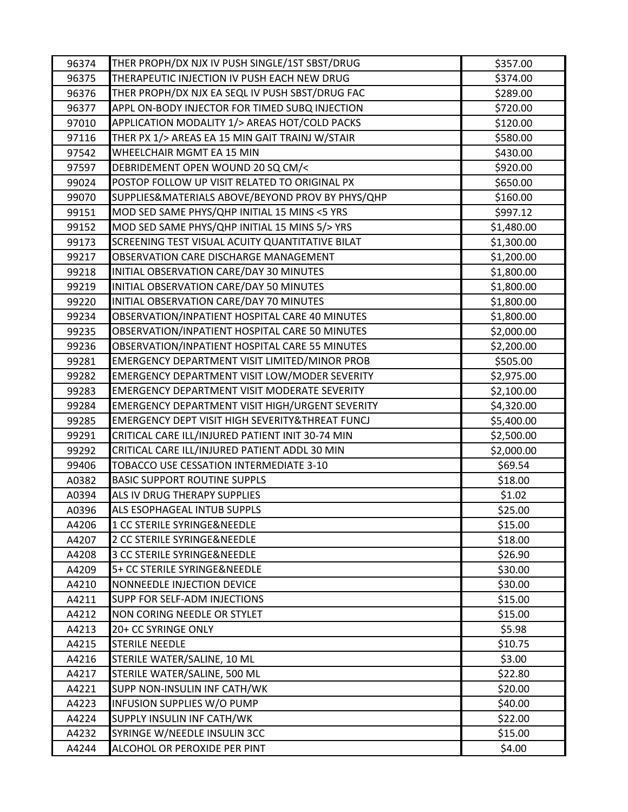| 96374          | THER PROPH/DX NJX IV PUSH SINGLE/1ST SBST/DRUG               | \$357.00           |
|----------------|--------------------------------------------------------------|--------------------|
| 96375          | THERAPEUTIC INJECTION IV PUSH EACH NEW DRUG                  | \$374.00           |
| 96376          | THER PROPH/DX NJX EA SEQL IV PUSH SBST/DRUG FAC              | \$289.00           |
| 96377          | APPL ON-BODY INJECTOR FOR TIMED SUBQ INJECTION               | \$720.00           |
| 97010          | APPLICATION MODALITY 1/> AREAS HOT/COLD PACKS                | \$120.00           |
| 97116          | THER PX 1/> AREAS EA 15 MIN GAIT TRAINJ W/STAIR              | \$580.00           |
| 97542          | WHEELCHAIR MGMT EA 15 MIN                                    | \$430.00           |
| 97597          | DEBRIDEMENT OPEN WOUND 20 SQ CM/<                            | \$920.00           |
| 99024          | POSTOP FOLLOW UP VISIT RELATED TO ORIGINAL PX                | \$650.00           |
| 99070          | SUPPLIES&MATERIALS ABOVE/BEYOND PROV BY PHYS/QHP             | \$160.00           |
| 99151          | MOD SED SAME PHYS/QHP INITIAL 15 MINS <5 YRS                 | \$997.12           |
| 99152          | MOD SED SAME PHYS/QHP INITIAL 15 MINS 5/> YRS                | \$1,480.00         |
| 99173          | SCREENING TEST VISUAL ACUITY QUANTITATIVE BILAT              | \$1,300.00         |
| 99217          | OBSERVATION CARE DISCHARGE MANAGEMENT                        | \$1,200.00         |
| 99218          | INITIAL OBSERVATION CARE/DAY 30 MINUTES                      | \$1,800.00         |
| 99219          | INITIAL OBSERVATION CARE/DAY 50 MINUTES                      | \$1,800.00         |
| 99220          | INITIAL OBSERVATION CARE/DAY 70 MINUTES                      | \$1,800.00         |
| 99234          | OBSERVATION/INPATIENT HOSPITAL CARE 40 MINUTES               | \$1,800.00         |
| 99235          | OBSERVATION/INPATIENT HOSPITAL CARE 50 MINUTES               | \$2,000.00         |
| 99236          | OBSERVATION/INPATIENT HOSPITAL CARE 55 MINUTES               | \$2,200.00         |
| 99281          | EMERGENCY DEPARTMENT VISIT LIMITED/MINOR PROB                | \$505.00           |
| 99282          | EMERGENCY DEPARTMENT VISIT LOW/MODER SEVERITY                | \$2,975.00         |
| 99283          | EMERGENCY DEPARTMENT VISIT MODERATE SEVERITY                 | \$2,100.00         |
| 99284          | EMERGENCY DEPARTMENT VISIT HIGH/URGENT SEVERITY              | \$4,320.00         |
| 99285          | EMERGENCY DEPT VISIT HIGH SEVERITY&THREAT FUNCJ              | \$5,400.00         |
| 99291          | CRITICAL CARE ILL/INJURED PATIENT INIT 30-74 MIN             | \$2,500.00         |
| 99292          | CRITICAL CARE ILL/INJURED PATIENT ADDL 30 MIN                | \$2,000.00         |
| 99406          | TOBACCO USE CESSATION INTERMEDIATE 3-10                      | \$69.54            |
| A0382          | <b>BASIC SUPPORT ROUTINE SUPPLS</b>                          | \$18.00            |
| A0394          | ALS IV DRUG THERAPY SUPPLIES                                 | \$1.02             |
| A0396          | ALS ESOPHAGEAL INTUB SUPPLS                                  | \$25.00            |
| A4206          | 1 CC STERILE SYRINGE&NEEDLE                                  | \$15.00            |
| A4207          | 2 CC STERILE SYRINGE&NEEDLE                                  | \$18.00            |
| A4208          | 3 CC STERILE SYRINGE&NEEDLE                                  | \$26.90            |
| A4209          | 5+ CC STERILE SYRINGE&NEEDLE                                 | \$30.00            |
| A4210          | NONNEEDLE INJECTION DEVICE                                   | \$30.00            |
| A4211          | <b>SUPP FOR SELF-ADM INJECTIONS</b>                          | \$15.00            |
| A4212          | NON CORING NEEDLE OR STYLET                                  | \$15.00            |
| A4213          | 20+ CC SYRINGE ONLY                                          | \$5.98             |
| A4215          | <b>STERILE NEEDLE</b>                                        | \$10.75            |
| A4216          | STERILE WATER/SALINE, 10 ML                                  | \$3.00             |
| A4217<br>A4221 | STERILE WATER/SALINE, 500 ML<br>SUPP NON-INSULIN INF CATH/WK | \$22.80<br>\$20.00 |
| A4223          | INFUSION SUPPLIES W/O PUMP                                   |                    |
|                | SUPPLY INSULIN INF CATH/WK                                   | \$40.00<br>\$22.00 |
| A4224          | SYRINGE W/NEEDLE INSULIN 3CC                                 | \$15.00            |
| A4232          |                                                              |                    |
| A4244          | ALCOHOL OR PEROXIDE PER PINT                                 | \$4.00             |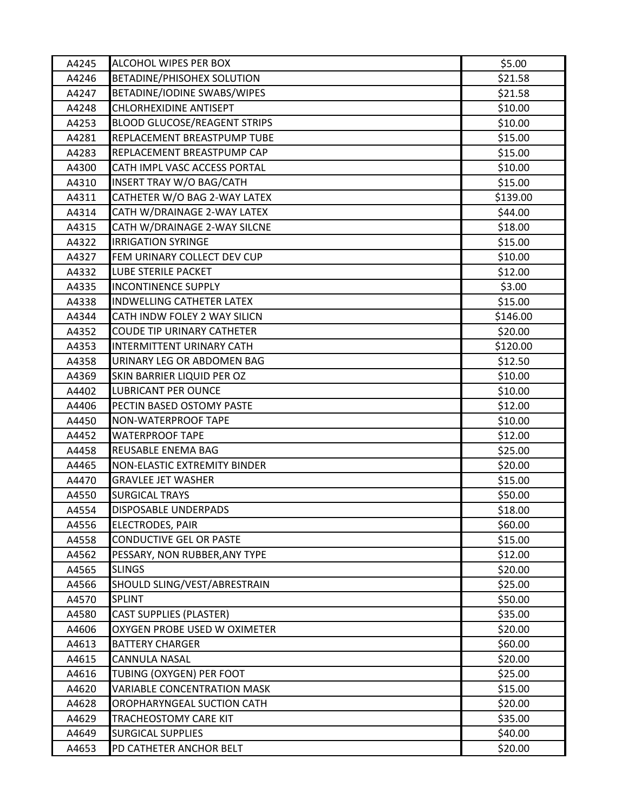| A4245 | ALCOHOL WIPES PER BOX               | \$5.00   |
|-------|-------------------------------------|----------|
| A4246 | <b>BETADINE/PHISOHEX SOLUTION</b>   | \$21.58  |
| A4247 | BETADINE/IODINE SWABS/WIPES         | \$21.58  |
| A4248 | CHLORHEXIDINE ANTISEPT              | \$10.00  |
| A4253 | <b>BLOOD GLUCOSE/REAGENT STRIPS</b> | \$10.00  |
| A4281 | REPLACEMENT BREASTPUMP TUBE         | \$15.00  |
| A4283 | REPLACEMENT BREASTPUMP CAP          | \$15.00  |
| A4300 | CATH IMPL VASC ACCESS PORTAL        | \$10.00  |
| A4310 | INSERT TRAY W/O BAG/CATH            | \$15.00  |
| A4311 | CATHETER W/O BAG 2-WAY LATEX        | \$139.00 |
| A4314 | CATH W/DRAINAGE 2-WAY LATEX         | \$44.00  |
| A4315 | CATH W/DRAINAGE 2-WAY SILCNE        | \$18.00  |
| A4322 | <b>IRRIGATION SYRINGE</b>           | \$15.00  |
| A4327 | FEM URINARY COLLECT DEV CUP         | \$10.00  |
| A4332 | LUBE STERILE PACKET                 | \$12.00  |
| A4335 | <b>INCONTINENCE SUPPLY</b>          | \$3.00   |
| A4338 | <b>INDWELLING CATHETER LATEX</b>    | \$15.00  |
| A4344 | CATH INDW FOLEY 2 WAY SILICN        | \$146.00 |
| A4352 | <b>COUDE TIP URINARY CATHETER</b>   | \$20.00  |
| A4353 | INTERMITTENT URINARY CATH           | \$120.00 |
| A4358 | URINARY LEG OR ABDOMEN BAG          | \$12.50  |
| A4369 | SKIN BARRIER LIQUID PER OZ          | \$10.00  |
| A4402 | LUBRICANT PER OUNCE                 | \$10.00  |
| A4406 | PECTIN BASED OSTOMY PASTE           | \$12.00  |
| A4450 | <b>NON-WATERPROOF TAPE</b>          | \$10.00  |
| A4452 | <b>WATERPROOF TAPE</b>              | \$12.00  |
| A4458 | REUSABLE ENEMA BAG                  | \$25.00  |
| A4465 | <b>NON-ELASTIC EXTREMITY BINDER</b> | \$20.00  |
| A4470 | <b>GRAVLEE JET WASHER</b>           | \$15.00  |
| A4550 | <b>SURGICAL TRAYS</b>               | \$50.00  |
| A4554 | <b>DISPOSABLE UNDERPADS</b>         | \$18.00  |
| A4556 | <b>ELECTRODES, PAIR</b>             | \$60.00  |
| A4558 | CONDUCTIVE GEL OR PASTE             | \$15.00  |
| A4562 | PESSARY, NON RUBBER, ANY TYPE       | \$12.00  |
| A4565 | <b>SLINGS</b>                       | \$20.00  |
| A4566 | SHOULD SLING/VEST/ABRESTRAIN        | \$25.00  |
| A4570 | <b>SPLINT</b>                       | \$50.00  |
| A4580 | <b>CAST SUPPLIES (PLASTER)</b>      | \$35.00  |
| A4606 | OXYGEN PROBE USED W OXIMETER        | \$20.00  |
| A4613 | <b>BATTERY CHARGER</b>              | \$60.00  |
| A4615 | CANNULA NASAL                       | \$20.00  |
| A4616 | TUBING (OXYGEN) PER FOOT            | \$25.00  |
| A4620 | <b>VARIABLE CONCENTRATION MASK</b>  | \$15.00  |
| A4628 | OROPHARYNGEAL SUCTION CATH          | \$20.00  |
| A4629 | TRACHEOSTOMY CARE KIT               | \$35.00  |
| A4649 | <b>SURGICAL SUPPLIES</b>            | \$40.00  |
| A4653 | PD CATHETER ANCHOR BELT             | \$20.00  |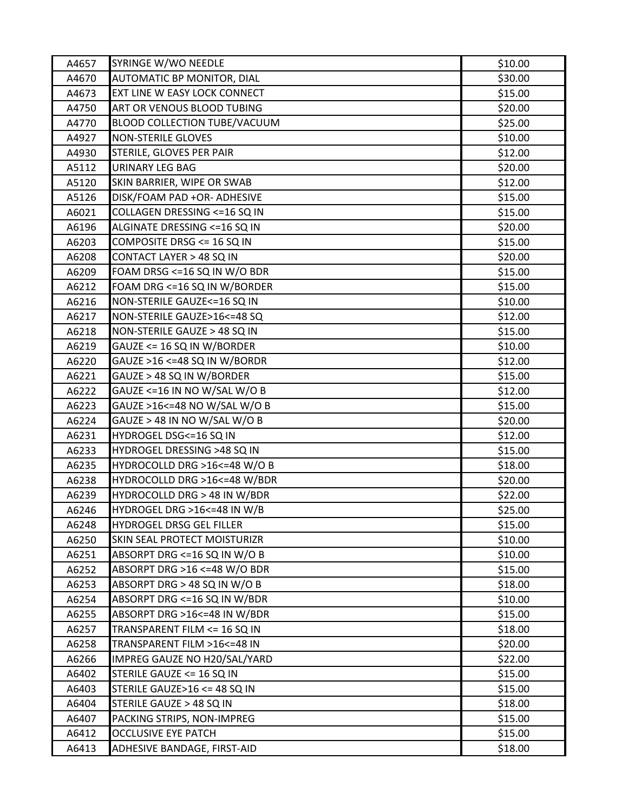| A4657 | SYRINGE W/WO NEEDLE           | \$10.00 |
|-------|-------------------------------|---------|
| A4670 | AUTOMATIC BP MONITOR, DIAL    | \$30.00 |
| A4673 | EXT LINE W EASY LOCK CONNECT  | \$15.00 |
| A4750 | ART OR VENOUS BLOOD TUBING    | \$20.00 |
| A4770 | BLOOD COLLECTION TUBE/VACUUM  | \$25.00 |
| A4927 | <b>NON-STERILE GLOVES</b>     | \$10.00 |
| A4930 | STERILE, GLOVES PER PAIR      | \$12.00 |
| A5112 | URINARY LEG BAG               | \$20.00 |
| A5120 | SKIN BARRIER, WIPE OR SWAB    | \$12.00 |
| A5126 | DISK/FOAM PAD +OR- ADHESIVE   | \$15.00 |
| A6021 | COLLAGEN DRESSING <= 16 SQ IN | \$15.00 |
| A6196 | ALGINATE DRESSING <= 16 SQ IN | \$20.00 |
| A6203 | COMPOSITE DRSG <= 16 SQ IN    | \$15.00 |
| A6208 | CONTACT LAYER > 48 SQ IN      | \$20.00 |
| A6209 | FOAM DRSG <=16 SQ IN W/O BDR  | \$15.00 |
| A6212 | FOAM DRG <= 16 SQ IN W/BORDER | \$15.00 |
| A6216 | NON-STERILE GAUZE<=16 SQ IN   | \$10.00 |
| A6217 | NON-STERILE GAUZE>16<=48 SQ   | \$12.00 |
| A6218 | NON-STERILE GAUZE > 48 SQ IN  | \$15.00 |
| A6219 | GAUZE <= 16 SQ IN W/BORDER    | \$10.00 |
| A6220 | GAUZE >16 <=48 SQ IN W/BORDR  | \$12.00 |
| A6221 | GAUZE > 48 SQ IN W/BORDER     | \$15.00 |
| A6222 | GAUZE <=16 IN NO W/SAL W/O B  | \$12.00 |
| A6223 | GAUZE >16<=48 NO W/SAL W/O B  | \$15.00 |
| A6224 | GAUZE > 48 IN NO W/SAL W/O B  | \$20.00 |
| A6231 | HYDROGEL DSG<=16 SQ IN        | \$12.00 |
| A6233 | HYDROGEL DRESSING >48 SQ IN   | \$15.00 |
| A6235 | HYDROCOLLD DRG >16<=48 W/O B  | \$18.00 |
| A6238 | HYDROCOLLD DRG >16<=48 W/BDR  | \$20.00 |
| A6239 | HYDROCOLLD DRG > 48 IN W/BDR  | \$22.00 |
| A6246 | HYDROGEL DRG >16<=48 IN W/B   | \$25.00 |
| A6248 | HYDROGEL DRSG GEL FILLER      | \$15.00 |
| A6250 | SKIN SEAL PROTECT MOISTURIZR  | \$10.00 |
| A6251 | ABSORPT DRG <=16 SQ IN W/O B  | \$10.00 |
| A6252 | ABSORPT DRG >16 <=48 W/O BDR  | \$15.00 |
| A6253 | ABSORPT DRG > 48 SQ IN W/O B  | \$18.00 |
| A6254 | ABSORPT DRG <=16 SQ IN W/BDR  | \$10.00 |
| A6255 | ABSORPT DRG >16<=48 IN W/BDR  | \$15.00 |
| A6257 | TRANSPARENT FILM <= 16 SQ IN  | \$18.00 |
| A6258 | TRANSPARENT FILM >16<=48 IN   | \$20.00 |
| A6266 | IMPREG GAUZE NO H20/SAL/YARD  | \$22.00 |
| A6402 | STERILE GAUZE <= 16 SQ IN     | \$15.00 |
| A6403 | STERILE GAUZE>16 <= 48 SQ IN  | \$15.00 |
| A6404 | STERILE GAUZE > 48 SQ IN      | \$18.00 |
| A6407 | PACKING STRIPS, NON-IMPREG    | \$15.00 |
| A6412 | <b>OCCLUSIVE EYE PATCH</b>    | \$15.00 |
| A6413 | ADHESIVE BANDAGE, FIRST-AID   | \$18.00 |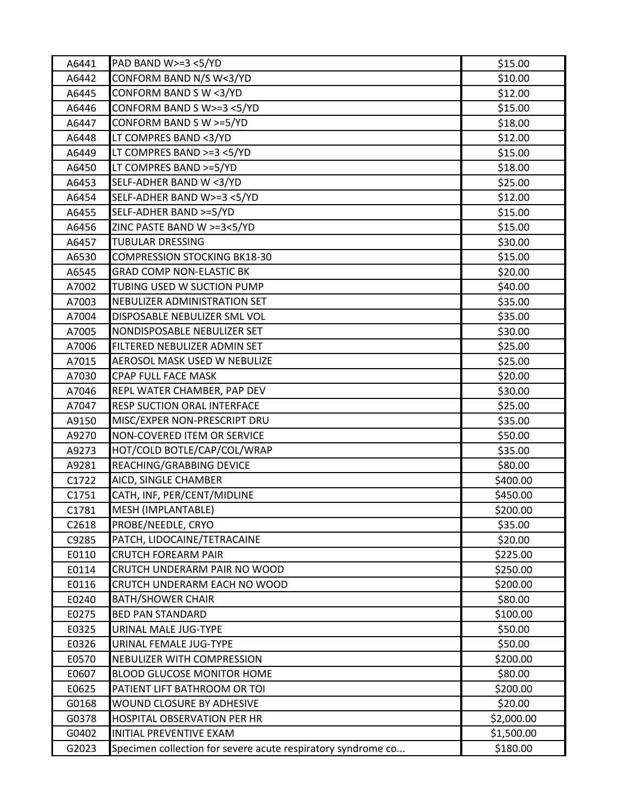| A6441 | PAD BAND W>=3 <5/YD                                          | \$15.00    |
|-------|--------------------------------------------------------------|------------|
| A6442 | CONFORM BAND N/S W<3/YD                                      | \$10.00    |
| A6445 | CONFORM BAND S W <3/YD                                       | \$12.00    |
| A6446 | CONFORM BAND S W>=3 <5/YD                                    | \$15.00    |
| A6447 | CONFORM BAND S W >=5/YD                                      | \$18.00    |
| A6448 | LT COMPRES BAND <3/YD                                        | \$12.00    |
| A6449 | LT COMPRES BAND >=3 <5/YD                                    | \$15.00    |
| A6450 | LT COMPRES BAND >=5/YD                                       | \$18.00    |
| A6453 | SELF-ADHER BAND W <3/YD                                      | \$25.00    |
| A6454 | SELF-ADHER BAND W>=3 <5/YD                                   | \$12.00    |
| A6455 | SELF-ADHER BAND >=5/YD                                       | \$15.00    |
| A6456 | ZINC PASTE BAND W >=3<5/YD                                   | \$15.00    |
| A6457 | TUBULAR DRESSING                                             | \$30.00    |
| A6530 | <b>COMPRESSION STOCKING BK18-30</b>                          | \$15.00    |
| A6545 | <b>GRAD COMP NON-ELASTIC BK</b>                              | \$20.00    |
| A7002 | TUBING USED W SUCTION PUMP                                   | \$40.00    |
| A7003 | NEBULIZER ADMINISTRATION SET                                 | \$35.00    |
| A7004 | DISPOSABLE NEBULIZER SML VOL                                 | \$35.00    |
| A7005 | NONDISPOSABLE NEBULIZER SET                                  | \$30.00    |
| A7006 | FILTERED NEBULIZER ADMIN SET                                 | \$25.00    |
| A7015 | AEROSOL MASK USED W NEBULIZE                                 | \$25.00    |
| A7030 | <b>CPAP FULL FACE MASK</b>                                   | \$20.00    |
| A7046 | REPL WATER CHAMBER, PAP DEV                                  | \$30.00    |
| A7047 | RESP SUCTION ORAL INTERFACE                                  | \$25.00    |
| A9150 | MISC/EXPER NON-PRESCRIPT DRU                                 | \$35.00    |
| A9270 | NON-COVERED ITEM OR SERVICE                                  | \$50.00    |
| A9273 | HOT/COLD BOTLE/CAP/COL/WRAP                                  | \$35.00    |
| A9281 | REACHING/GRABBING DEVICE                                     | \$80.00    |
| C1722 | AICD, SINGLE CHAMBER                                         | \$400.00   |
| C1751 | CATH, INF, PER/CENT/MIDLINE                                  | \$450.00   |
| C1781 | MESH (IMPLANTABLE)                                           | \$200.00   |
| C2618 | PROBE/NEEDLE, CRYO                                           | \$35.00    |
| C9285 | PATCH, LIDOCAINE/TETRACAINE                                  | \$20.00    |
| E0110 | <b>CRUTCH FOREARM PAIR</b>                                   | \$225.00   |
| E0114 | CRUTCH UNDERARM PAIR NO WOOD                                 | \$250.00   |
| E0116 | CRUTCH UNDERARM EACH NO WOOD                                 | \$200.00   |
| E0240 | <b>BATH/SHOWER CHAIR</b>                                     | \$80.00    |
| E0275 | <b>BED PAN STANDARD</b>                                      | \$100.00   |
| E0325 | URINAL MALE JUG-TYPE                                         | \$50.00    |
| E0326 | URINAL FEMALE JUG-TYPE                                       | \$50.00    |
| E0570 | NEBULIZER WITH COMPRESSION                                   | \$200.00   |
| E0607 | <b>BLOOD GLUCOSE MONITOR HOME</b>                            | \$80.00    |
| E0625 | PATIENT LIFT BATHROOM OR TOI                                 | \$200.00   |
| G0168 | WOUND CLOSURE BY ADHESIVE                                    | \$20.00    |
| G0378 | HOSPITAL OBSERVATION PER HR                                  | \$2,000.00 |
| G0402 | INITIAL PREVENTIVE EXAM                                      | \$1,500.00 |
| G2023 | Specimen collection for severe acute respiratory syndrome co | \$180.00   |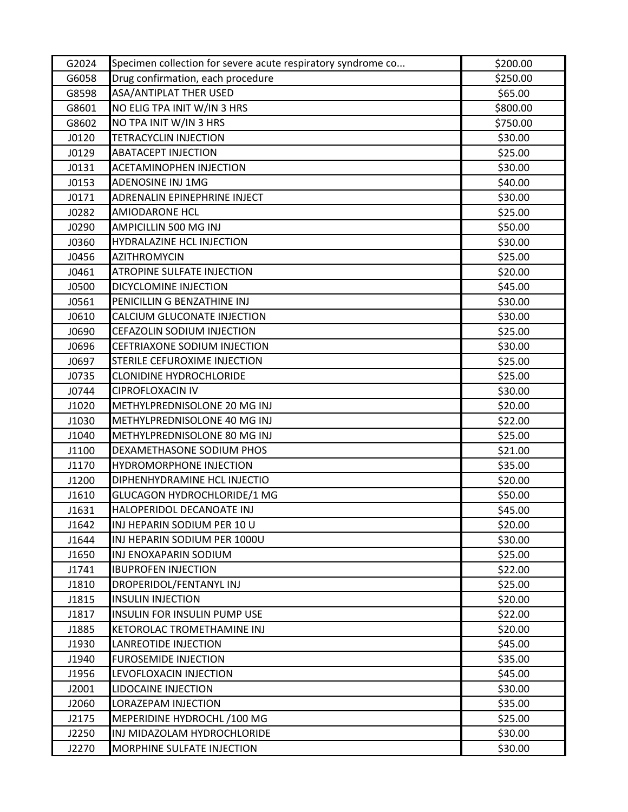| G2024 | Specimen collection for severe acute respiratory syndrome co | \$200.00 |
|-------|--------------------------------------------------------------|----------|
| G6058 | Drug confirmation, each procedure                            | \$250.00 |
| G8598 | ASA/ANTIPLAT THER USED                                       | \$65.00  |
| G8601 | NO ELIG TPA INIT W/IN 3 HRS                                  | \$800.00 |
| G8602 | NO TPA INIT W/IN 3 HRS                                       | \$750.00 |
| J0120 | <b>TETRACYCLIN INJECTION</b>                                 | \$30.00  |
| J0129 | <b>ABATACEPT INJECTION</b>                                   | \$25.00  |
| J0131 | <b>ACETAMINOPHEN INJECTION</b>                               | \$30.00  |
| J0153 | ADENOSINE INJ 1MG                                            | \$40.00  |
| J0171 | ADRENALIN EPINEPHRINE INJECT                                 | \$30.00  |
| J0282 | <b>AMIODARONE HCL</b>                                        | \$25.00  |
| J0290 | AMPICILLIN 500 MG INJ                                        | \$50.00  |
| J0360 | HYDRALAZINE HCL INJECTION                                    | \$30.00  |
| J0456 | <b>AZITHROMYCIN</b>                                          | \$25.00  |
| J0461 | <b>ATROPINE SULFATE INJECTION</b>                            | \$20.00  |
| J0500 | DICYCLOMINE INJECTION                                        | \$45.00  |
| J0561 | PENICILLIN G BENZATHINE INJ                                  | \$30.00  |
| J0610 | CALCIUM GLUCONATE INJECTION                                  | \$30.00  |
| J0690 | CEFAZOLIN SODIUM INJECTION                                   | \$25.00  |
| J0696 | CEFTRIAXONE SODIUM INJECTION                                 | \$30.00  |
| J0697 | STERILE CEFUROXIME INJECTION                                 | \$25.00  |
| J0735 | <b>CLONIDINE HYDROCHLORIDE</b>                               | \$25.00  |
| J0744 | <b>CIPROFLOXACIN IV</b>                                      | \$30.00  |
| J1020 | METHYLPREDNISOLONE 20 MG INJ                                 | \$20.00  |
| J1030 | METHYLPREDNISOLONE 40 MG INJ                                 | \$22.00  |
| J1040 | METHYLPREDNISOLONE 80 MG INJ                                 | \$25.00  |
| J1100 | DEXAMETHASONE SODIUM PHOS                                    | \$21.00  |
| J1170 | <b>HYDROMORPHONE INJECTION</b>                               | \$35.00  |
| J1200 | DIPHENHYDRAMINE HCL INJECTIO                                 | \$20.00  |
| J1610 | <b>GLUCAGON HYDROCHLORIDE/1 MG</b>                           | \$50.00  |
| J1631 | HALOPERIDOL DECANOATE INJ                                    | \$45.00  |
| J1642 | INJ HEPARIN SODIUM PER 10 U                                  | \$20.00  |
| J1644 | INJ HEPARIN SODIUM PER 1000U                                 | \$30.00  |
| J1650 | INJ ENOXAPARIN SODIUM                                        | \$25.00  |
| J1741 | <b>IBUPROFEN INJECTION</b>                                   | \$22.00  |
| J1810 | DROPERIDOL/FENTANYL INJ                                      | \$25.00  |
| J1815 | <b>INSULIN INJECTION</b>                                     | \$20.00  |
| J1817 | <b>INSULIN FOR INSULIN PUMP USE</b>                          | \$22.00  |
| J1885 | KETOROLAC TROMETHAMINE INJ                                   | \$20.00  |
| J1930 | LANREOTIDE INJECTION                                         | \$45.00  |
| J1940 | <b>FUROSEMIDE INJECTION</b>                                  | \$35.00  |
| J1956 | LEVOFLOXACIN INJECTION                                       | \$45.00  |
| J2001 | <b>LIDOCAINE INJECTION</b>                                   | \$30.00  |
| J2060 | LORAZEPAM INJECTION                                          | \$35.00  |
| J2175 | MEPERIDINE HYDROCHL /100 MG                                  | \$25.00  |
| J2250 | INJ MIDAZOLAM HYDROCHLORIDE                                  | \$30.00  |
| J2270 | MORPHINE SULFATE INJECTION                                   | \$30.00  |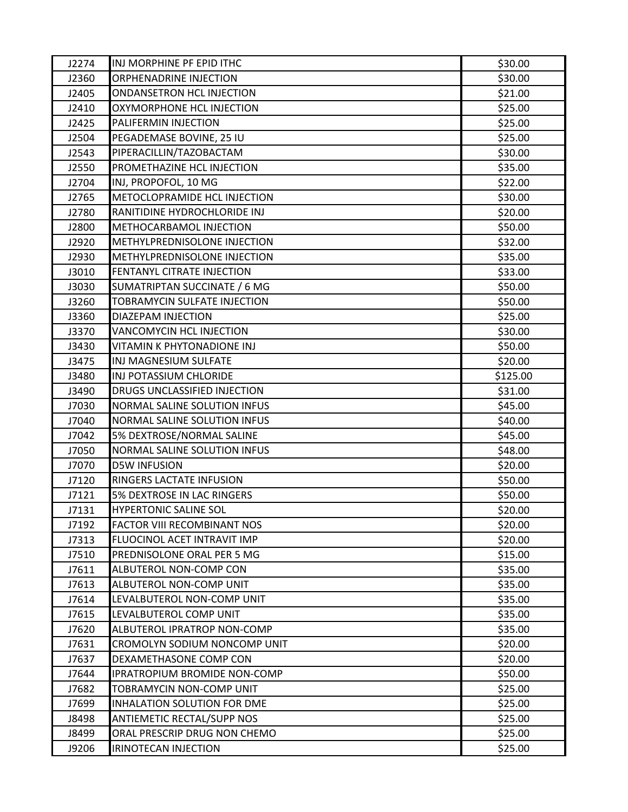| J2274 | INJ MORPHINE PF EPID ITHC          | \$30.00  |
|-------|------------------------------------|----------|
| J2360 | ORPHENADRINE INJECTION             | \$30.00  |
| J2405 | ONDANSETRON HCL INJECTION          | \$21.00  |
| J2410 | OXYMORPHONE HCL INJECTION          | \$25.00  |
| J2425 | PALIFERMIN INJECTION               | \$25.00  |
| J2504 | PEGADEMASE BOVINE, 25 IU           | \$25.00  |
| J2543 | PIPERACILLIN/TAZOBACTAM            | \$30.00  |
| J2550 | PROMETHAZINE HCL INJECTION         | \$35.00  |
| J2704 | INJ, PROPOFOL, 10 MG               | \$22.00  |
| J2765 | METOCLOPRAMIDE HCL INJECTION       | \$30.00  |
| J2780 | RANITIDINE HYDROCHLORIDE INJ       | \$20.00  |
| J2800 | METHOCARBAMOL INJECTION            | \$50.00  |
| J2920 | METHYLPREDNISOLONE INJECTION       | \$32.00  |
| J2930 | METHYLPREDNISOLONE INJECTION       | \$35.00  |
| J3010 | FENTANYL CITRATE INJECTION         | \$33.00  |
| J3030 | SUMATRIPTAN SUCCINATE / 6 MG       | \$50.00  |
| J3260 | TOBRAMYCIN SULFATE INJECTION       | \$50.00  |
| J3360 | DIAZEPAM INJECTION                 | \$25.00  |
| J3370 | VANCOMYCIN HCL INJECTION           | \$30.00  |
| J3430 | VITAMIN K PHYTONADIONE INJ         | \$50.00  |
| J3475 | INJ MAGNESIUM SULFATE              | \$20.00  |
| J3480 | INJ POTASSIUM CHLORIDE             | \$125.00 |
| J3490 | DRUGS UNCLASSIFIED INJECTION       | \$31.00  |
| J7030 | NORMAL SALINE SOLUTION INFUS       | \$45.00  |
| J7040 | NORMAL SALINE SOLUTION INFUS       | \$40.00  |
| J7042 | 5% DEXTROSE/NORMAL SALINE          | \$45.00  |
| J7050 | NORMAL SALINE SOLUTION INFUS       | \$48.00  |
| J7070 | <b>D5W INFUSION</b>                | \$20.00  |
| J7120 | RINGERS LACTATE INFUSION           | \$50.00  |
| J7121 | 5% DEXTROSE IN LAC RINGERS         | \$50.00  |
| J7131 | <b>HYPERTONIC SALINE SOL</b>       | \$20.00  |
| J7192 | <b>FACTOR VIII RECOMBINANT NOS</b> | \$20.00  |
| J7313 | FLUOCINOL ACET INTRAVIT IMP        | \$20.00  |
| J7510 | PREDNISOLONE ORAL PER 5 MG         | \$15.00  |
| J7611 | ALBUTEROL NON-COMP CON             | \$35.00  |
| J7613 | ALBUTEROL NON-COMP UNIT            | \$35.00  |
| J7614 | LEVALBUTEROL NON-COMP UNIT         | \$35.00  |
| J7615 | LEVALBUTEROL COMP UNIT             | \$35.00  |
| J7620 | ALBUTEROL IPRATROP NON-COMP        | \$35.00  |
| J7631 | CROMOLYN SODIUM NONCOMP UNIT       | \$20.00  |
| J7637 | DEXAMETHASONE COMP CON             | \$20.00  |
| J7644 | IPRATROPIUM BROMIDE NON-COMP       | \$50.00  |
| J7682 | TOBRAMYCIN NON-COMP UNIT           | \$25.00  |
| J7699 | INHALATION SOLUTION FOR DME        | \$25.00  |
| J8498 | <b>ANTIEMETIC RECTAL/SUPP NOS</b>  | \$25.00  |
| J8499 | ORAL PRESCRIP DRUG NON CHEMO       | \$25.00  |
| J9206 | IRINOTECAN INJECTION               | \$25.00  |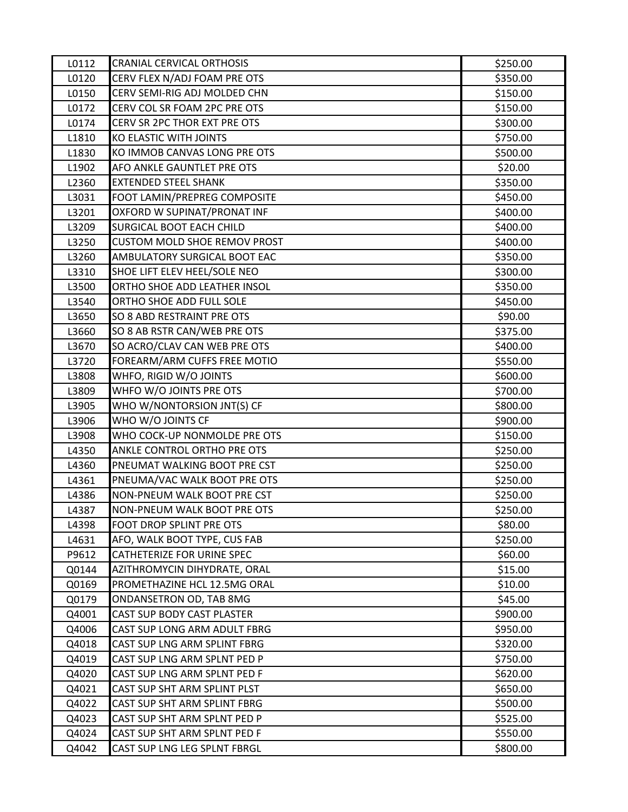| L0112 | <b>CRANIAL CERVICAL ORTHOSIS</b>    | \$250.00 |
|-------|-------------------------------------|----------|
| L0120 | CERV FLEX N/ADJ FOAM PRE OTS        | \$350.00 |
| L0150 | CERV SEMI-RIG ADJ MOLDED CHN        | \$150.00 |
| L0172 | CERV COL SR FOAM 2PC PRE OTS        | \$150.00 |
| L0174 | CERV SR 2PC THOR EXT PRE OTS        | \$300.00 |
| L1810 | KO ELASTIC WITH JOINTS              | \$750.00 |
| L1830 | KO IMMOB CANVAS LONG PRE OTS        | \$500.00 |
| L1902 | AFO ANKLE GAUNTLET PRE OTS          | \$20.00  |
| L2360 | <b>EXTENDED STEEL SHANK</b>         | \$350.00 |
| L3031 | FOOT LAMIN/PREPREG COMPOSITE        | \$450.00 |
| L3201 | OXFORD W SUPINAT/PRONAT INF         | \$400.00 |
| L3209 | SURGICAL BOOT EACH CHILD            | \$400.00 |
| L3250 | <b>CUSTOM MOLD SHOE REMOV PROST</b> | \$400.00 |
| L3260 | AMBULATORY SURGICAL BOOT EAC        | \$350.00 |
| L3310 | SHOE LIFT ELEV HEEL/SOLE NEO        | \$300.00 |
| L3500 | ORTHO SHOE ADD LEATHER INSOL        | \$350.00 |
| L3540 | ORTHO SHOE ADD FULL SOLE            | \$450.00 |
| L3650 | SO 8 ABD RESTRAINT PRE OTS          | \$90.00  |
| L3660 | SO 8 AB RSTR CAN/WEB PRE OTS        | \$375.00 |
| L3670 | SO ACRO/CLAV CAN WEB PRE OTS        | \$400.00 |
| L3720 | FOREARM/ARM CUFFS FREE MOTIO        | \$550.00 |
| L3808 | WHFO, RIGID W/O JOINTS              | \$600.00 |
| L3809 | WHFO W/O JOINTS PRE OTS             | \$700.00 |
| L3905 | WHO W/NONTORSION JNT(S) CF          | \$800.00 |
| L3906 | WHO W/O JOINTS CF                   | \$900.00 |
| L3908 | WHO COCK-UP NONMOLDE PRE OTS        | \$150.00 |
| L4350 | ANKLE CONTROL ORTHO PRE OTS         | \$250.00 |
| L4360 | PNEUMAT WALKING BOOT PRE CST        | \$250.00 |
| L4361 | PNEUMA/VAC WALK BOOT PRE OTS        | \$250.00 |
| L4386 | NON-PNEUM WALK BOOT PRE CST         | \$250.00 |
| L4387 | NON-PNEUM WALK BOOT PRE OTS         | \$250.00 |
| L4398 | FOOT DROP SPLINT PRE OTS            | \$80.00  |
| L4631 | AFO, WALK BOOT TYPE, CUS FAB        | \$250.00 |
| P9612 | CATHETERIZE FOR URINE SPEC          | \$60.00  |
| Q0144 | AZITHROMYCIN DIHYDRATE, ORAL        | \$15.00  |
| Q0169 | PROMETHAZINE HCL 12.5MG ORAL        | \$10.00  |
| Q0179 | ONDANSETRON OD, TAB 8MG             | \$45.00  |
| Q4001 | CAST SUP BODY CAST PLASTER          | \$900.00 |
| Q4006 | CAST SUP LONG ARM ADULT FBRG        | \$950.00 |
| Q4018 | CAST SUP LNG ARM SPLINT FBRG        | \$320.00 |
| Q4019 | CAST SUP LNG ARM SPLNT PED P        | \$750.00 |
| Q4020 | CAST SUP LNG ARM SPLNT PED F        | \$620.00 |
| Q4021 | CAST SUP SHT ARM SPLINT PLST        | \$650.00 |
| Q4022 | CAST SUP SHT ARM SPLINT FBRG        | \$500.00 |
| Q4023 | CAST SUP SHT ARM SPLNT PED P        | \$525.00 |
| Q4024 | CAST SUP SHT ARM SPLNT PED F        | \$550.00 |
| Q4042 | CAST SUP LNG LEG SPLNT FBRGL        | \$800.00 |